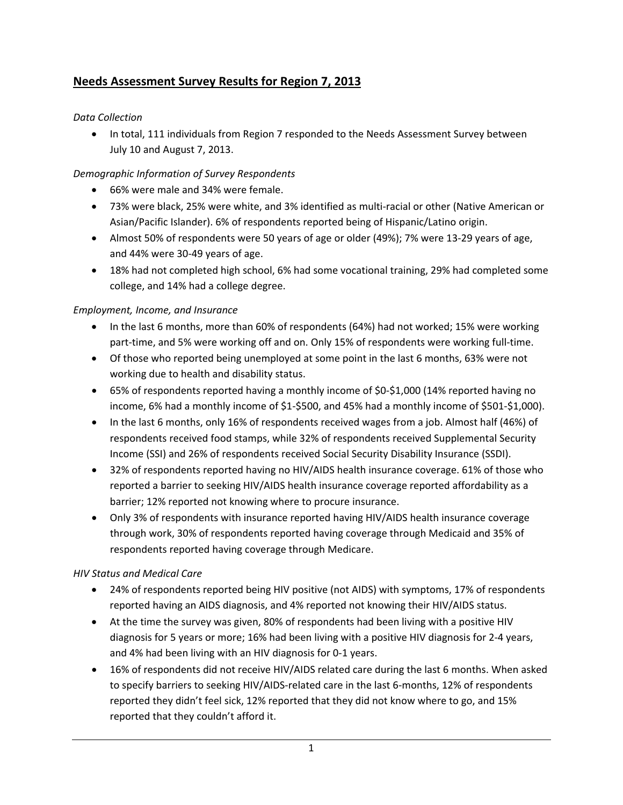# **Needs Assessment Survey Results for Region 7, 2013**

## *Data Collection*

• In total, 111 individuals from Region 7 responded to the Needs Assessment Survey between July 10 and August 7, 2013.

## *Demographic Information of Survey Respondents*

- 66% were male and 34% were female.
- 73% were black, 25% were white, and 3% identified as multi‐racial or other (Native American or Asian/Pacific Islander). 6% of respondents reported being of Hispanic/Latino origin.
- Almost 50% of respondents were 50 years of age or older (49%); 7% were 13‐29 years of age, and 44% were 30‐49 years of age.
- 18% had not completed high school, 6% had some vocational training, 29% had completed some college, and 14% had a college degree.

## *Employment, Income, and Insurance*

- In the last 6 months, more than 60% of respondents (64%) had not worked; 15% were working part-time, and 5% were working off and on. Only 15% of respondents were working full-time.
- Of those who reported being unemployed at some point in the last 6 months, 63% were not working due to health and disability status.
- 65% of respondents reported having a monthly income of \$0-\$1,000 (14% reported having no income, 6% had a monthly income of \$1‐\$500, and 45% had a monthly income of \$501‐\$1,000).
- In the last 6 months, only 16% of respondents received wages from a job. Almost half (46%) of respondents received food stamps, while 32% of respondents received Supplemental Security Income (SSI) and 26% of respondents received Social Security Disability Insurance (SSDI).
- 32% of respondents reported having no HIV/AIDS health insurance coverage. 61% of those who reported a barrier to seeking HIV/AIDS health insurance coverage reported affordability as a barrier; 12% reported not knowing where to procure insurance.
- Only 3% of respondents with insurance reported having HIV/AIDS health insurance coverage through work, 30% of respondents reported having coverage through Medicaid and 35% of respondents reported having coverage through Medicare.

### *HIV Status and Medical Care*

- 24% of respondents reported being HIV positive (not AIDS) with symptoms, 17% of respondents reported having an AIDS diagnosis, and 4% reported not knowing their HIV/AIDS status.
- At the time the survey was given, 80% of respondents had been living with a positive HIV diagnosis for 5 years or more; 16% had been living with a positive HIV diagnosis for 2‐4 years, and 4% had been living with an HIV diagnosis for 0‐1 years.
- 16% of respondents did not receive HIV/AIDS related care during the last 6 months. When asked to specify barriers to seeking HIV/AIDS-related care in the last 6-months, 12% of respondents reported they didn't feel sick, 12% reported that they did not know where to go, and 15% reported that they couldn't afford it.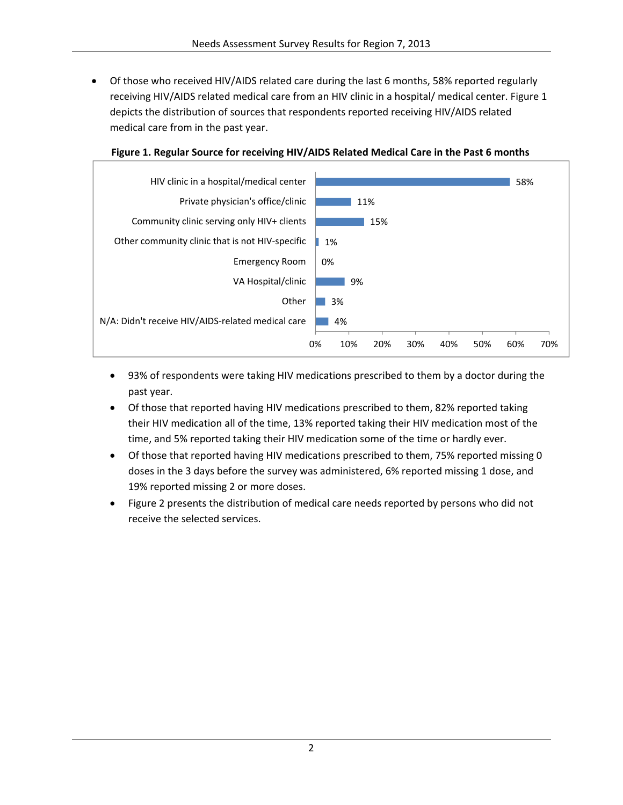• Of those who received HIV/AIDS related care during the last 6 months, 58% reported regularly receiving HIV/AIDS related medical care from an HIV clinic in a hospital/ medical center. Figure 1 depicts the distribution of sources that respondents reported receiving HIV/AIDS related medical care from in the past year.



#### **Figure 1. Regular Source for receiving HIV/AIDS Related Medical Care in the Past 6 months**

- 93% of respondents were taking HIV medications prescribed to them by a doctor during the past year.
- Of those that reported having HIV medications prescribed to them, 82% reported taking their HIV medication all of the time, 13% reported taking their HIV medication most of the time, and 5% reported taking their HIV medication some of the time or hardly ever.
- Of those that reported having HIV medications prescribed to them, 75% reported missing 0 doses in the 3 days before the survey was administered, 6% reported missing 1 dose, and 19% reported missing 2 or more doses.
- Figure 2 presents the distribution of medical care needs reported by persons who did not receive the selected services.